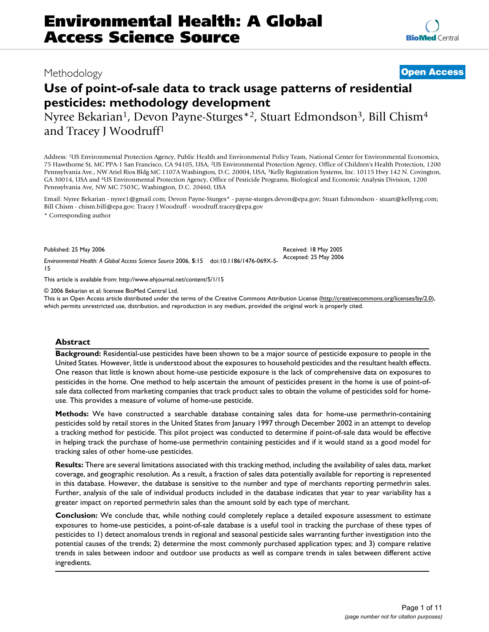# Methodology **[Open Access](http://www.biomedcentral.com/info/about/charter/)**

**[BioMed](http://www.biomedcentral.com/)** Central

# **Use of point-of-sale data to track usage patterns of residential pesticides: methodology development**

Nyree Bekarian<sup>1</sup>, Devon Payne-Sturges\*<sup>2</sup>, Stuart Edmondson<sup>3</sup>, Bill Chism<sup>4</sup> and Tracey J Woodruff1

Address: 1US Environmental Protection Agency, Public Health and Environmental Policy Team, National Center for Environmental Economics, 75 Hawthorne St, MC PPA-1 San Francisco, CA 94105, USA, 2US Environmental Protection Agency, Office of Children's Health Protection, 1200 Pennsylvania Ave., NW Ariel Rios Bldg MC 1107A Washington, D.C. 20004, USA, 3Kelly Registration Systems, Inc. 10115 Hwy 142 N. Covington, GA 30014, USA and 4US Environmental Protection Agency, Office of Pesticide Programs, Biological and Economic Analysis Division, 1200 Pennsylvania Ave, NW MC 7503C, Washington, D.C. 20460, USA

Email: Nyree Bekarian - nyree1@gmail.com; Devon Payne-Sturges\* - payne-sturges.devon@epa.gov; Stuart Edmondson - stuart@kellyreg.com; Bill Chism - chism.bill@epa.gov; Tracey J Woodruff - woodruff.tracey@epa.gov

\* Corresponding author

Published: 25 May 2006 *Environmental Health: A Global Access Science Source* 2006, **5**:15 doi:10.1186/1476-069X-5- 15 Received: 18 May 2005 Accepted: 25 May 2006

[This article is available from: http://www.ehjournal.net/content/5/1/15](http://www.ehjournal.net/content/5/1/15)

© 2006 Bekarian et al; licensee BioMed Central Ltd.

This is an Open Access article distributed under the terms of the Creative Commons Attribution License [\(http://creativecommons.org/licenses/by/2.0\)](http://creativecommons.org/licenses/by/2.0), which permits unrestricted use, distribution, and reproduction in any medium, provided the original work is properly cited.

# **Abstract**

**Background:** Residential-use pesticides have been shown to be a major source of pesticide exposure to people in the United States. However, little is understood about the exposures to household pesticides and the resultant health effects. One reason that little is known about home-use pesticide exposure is the lack of comprehensive data on exposures to pesticides in the home. One method to help ascertain the amount of pesticides present in the home is use of point-ofsale data collected from marketing companies that track product sales to obtain the volume of pesticides sold for homeuse. This provides a measure of volume of home-use pesticide.

**Methods:** We have constructed a searchable database containing sales data for home-use permethrin-containing pesticides sold by retail stores in the United States from January 1997 through December 2002 in an attempt to develop a tracking method for pesticide. This pilot project was conducted to determine if point-of-sale data would be effective in helping track the purchase of home-use permethrin containing pesticides and if it would stand as a good model for tracking sales of other home-use pesticides.

**Results:** There are several limitations associated with this tracking method, including the availability of sales data, market coverage, and geographic resolution. As a result, a fraction of sales data potentially available for reporting is represented in this database. However, the database is sensitive to the number and type of merchants reporting permethrin sales. Further, analysis of the sale of individual products included in the database indicates that year to year variability has a greater impact on reported permethrin sales than the amount sold by each type of merchant.

**Conclusion:** We conclude that, while nothing could completely replace a detailed exposure assessment to estimate exposures to home-use pesticides, a point-of-sale database is a useful tool in tracking the purchase of these types of pesticides to 1) detect anomalous trends in regional and seasonal pesticide sales warranting further investigation into the potential causes of the trends; 2) determine the most commonly purchased application types; and 3) compare relative trends in sales between indoor and outdoor use products as well as compare trends in sales between different active ingredients.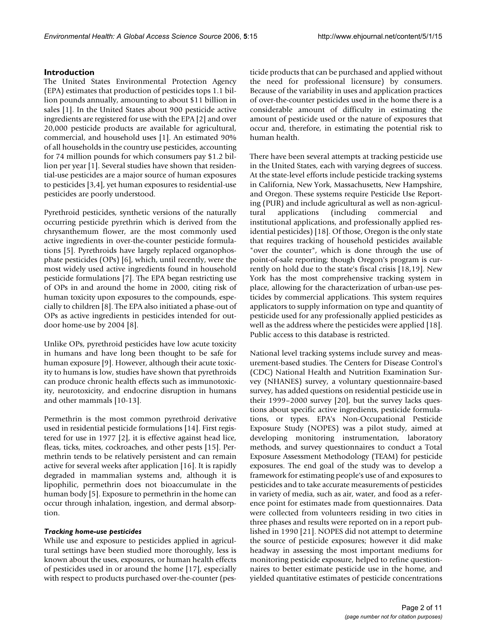# **Introduction**

The United States Environmental Protection Agency (EPA) estimates that production of pesticides tops 1.1 billion pounds annually, amounting to about \$11 billion in sales [1]. In the United States about 900 pesticide active ingredients are registered for use with the EPA [2] and over 20,000 pesticide products are available for agricultural, commercial, and household uses [1]. An estimated 90% of all households in the country use pesticides, accounting for 74 million pounds for which consumers pay \$1.2 billion per year [1]. Several studies have shown that residential-use pesticides are a major source of human exposures to pesticides [3,4], yet human exposures to residential-use pesticides are poorly understood.

Pyrethroid pesticides, synthetic versions of the naturally occurring pesticide pyrethrin which is derived from the chrysanthemum flower, are the most commonly used active ingredients in over-the-counter pesticide formulations [5]. Pyrethroids have largely replaced organophosphate pesticides (OPs) [6], which, until recently, were the most widely used active ingredients found in household pesticide formulations [7]. The EPA began restricting use of OPs in and around the home in 2000, citing risk of human toxicity upon exposures to the compounds, especially to children [8]. The EPA also initiated a phase-out of OPs as active ingredients in pesticides intended for outdoor home-use by 2004 [8].

Unlike OPs, pyrethroid pesticides have low acute toxicity in humans and have long been thought to be safe for human exposure [9]. However, although their acute toxicity to humans is low, studies have shown that pyrethroids can produce chronic health effects such as immunotoxicity, neurotoxicity, and endocrine disruption in humans and other mammals [10-13].

Permethrin is the most common pyrethroid derivative used in residential pesticide formulations [14]. First registered for use in 1977 [2], it is effective against head lice, fleas, ticks, mites, cockroaches, and other pests [15]. Permethrin tends to be relatively persistent and can remain active for several weeks after application [16]. It is rapidly degraded in mammalian systems and, although it is lipophilic, permethrin does not bioaccumulate in the human body [5]. Exposure to permethrin in the home can occur through inhalation, ingestion, and dermal absorption.

# *Tracking home-use pesticides*

While use and exposure to pesticides applied in agricultural settings have been studied more thoroughly, less is known about the uses, exposures, or human health effects of pesticides used in or around the home [17], especially with respect to products purchased over-the-counter (pesticide products that can be purchased and applied without the need for professional licensure) by consumers. Because of the variability in uses and application practices of over-the-counter pesticides used in the home there is a considerable amount of difficulty in estimating the amount of pesticide used or the nature of exposures that occur and, therefore, in estimating the potential risk to human health.

There have been several attempts at tracking pesticide use in the United States, each with varying degrees of success. At the state-level efforts include pesticide tracking systems in California, New York, Massachusetts, New Hampshire, and Oregon. These systems require Pesticide Use Reporting (PUR) and include agricultural as well as non-agricultural applications (including commercial and institutional applications, and professionally applied residential pesticides) [18]. Of those, Oregon is the only state that requires tracking of household pesticides available "over the counter", which is done through the use of point-of-sale reporting; though Oregon's program is currently on hold due to the state's fiscal crisis [18,19]. New York has the most comprehensive tracking system in place, allowing for the characterization of urban-use pesticides by commercial applications. This system requires applicators to supply information on type and quantity of pesticide used for any professionally applied pesticides as well as the address where the pesticides were applied [18]. Public access to this database is restricted.

National level tracking systems include survey and measurement-based studies. The Centers for Disease Control's (CDC) National Health and Nutrition Examination Survey (NHANES) survey, a voluntary questionnaire-based survey, has added questions on residential pesticide use in their 1999–2000 survey [20], but the survey lacks questions about specific active ingredients, pesticide formulations, or types. EPA's Non-Occupational Pesticide Exposure Study (NOPES) was a pilot study, aimed at developing monitoring instrumentation, laboratory methods, and survey questionnaires to conduct a Total Exposure Assessment Methodology (TEAM) for pesticide exposures. The end goal of the study was to develop a framework for estimating people's use of and exposures to pesticides and to take accurate measurements of pesticides in variety of media, such as air, water, and food as a reference point for estimates made from questionnaires. Data were collected from volunteers residing in two cities in three phases and results were reported on in a report published in 1990 [21]. NOPES did not attempt to determine the source of pesticide exposures; however it did make headway in assessing the most important mediums for monitoring pesticide exposure, helped to refine questionnaires to better estimate pesticide use in the home, and yielded quantitative estimates of pesticide concentrations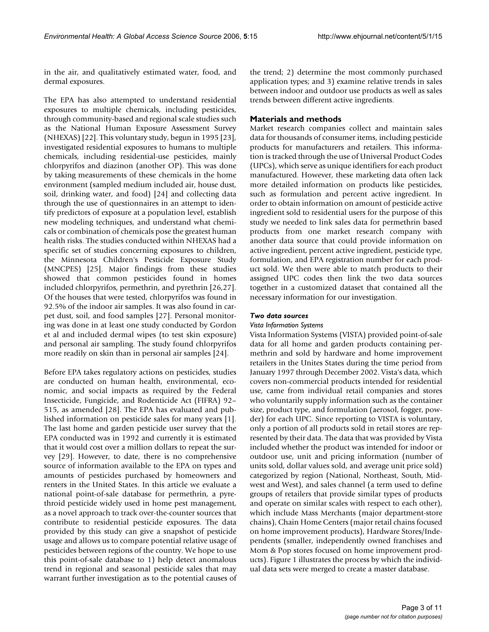in the air, and qualitatively estimated water, food, and dermal exposures.

The EPA has also attempted to understand residential exposures to multiple chemicals, including pesticides, through community-based and regional scale studies such as the National Human Exposure Assessment Survey (NHEXAS) [22]. This voluntary study, begun in 1995 [23], investigated residential exposures to humans to multiple chemicals, including residential-use pesticides, mainly chlorpyrifos and diazinon (another OP). This was done by taking measurements of these chemicals in the home environment (sampled medium included air, house dust, soil, drinking water, and food) [24] and collecting data through the use of questionnaires in an attempt to identify predictors of exposure at a population level, establish new modeling techniques, and understand what chemicals or combination of chemicals pose the greatest human health risks. The studies conducted within NHEXAS had a specific set of studies concerning exposures to children, the Minnesota Children's Pesticide Exposure Study (MNCPES) [25]. Major findings from these studies showed that common pesticides found in homes included chlorpyrifos, permethrin, and pyrethrin [26,27]. Of the houses that were tested, chlorpyrifos was found in 92.5% of the indoor air samples. It was also found in carpet dust, soil, and food samples [27]. Personal monitoring was done in at least one study conducted by Gordon et al and included dermal wipes (to test skin exposure) and personal air sampling. The study found chlorpyrifos more readily on skin than in personal air samples [24].

Before EPA takes regulatory actions on pesticides, studies are conducted on human health, environmental, economic, and social impacts as required by the Federal Insecticide, Fungicide, and Rodenticide Act (FIFRA) 92– 515, as amended [28]. The EPA has evaluated and published information on pesticide sales for many years [1]. The last home and garden pesticide user survey that the EPA conducted was in 1992 and currently it is estimated that it would cost over a million dollars to repeat the survey [29]. However, to date, there is no comprehensive source of information available to the EPA on types and amounts of pesticides purchased by homeowners and renters in the United States. In this article we evaluate a national point-of-sale database for permethrin, a pyrethroid pesticide widely used in home pest management, as a novel approach to track over-the-counter sources that contribute to residential pesticide exposures. The data provided by this study can give a snapshot of pesticide usage and allows us to compare potential relative usage of pesticides between regions of the country. We hope to use this point-of-sale database to 1) help detect anomalous trend in regional and seasonal pesticide sales that may warrant further investigation as to the potential causes of the trend; 2) determine the most commonly purchased application types; and 3) examine relative trends in sales between indoor and outdoor use products as well as sales trends between different active ingredients.

# **Materials and methods**

Market research companies collect and maintain sales data for thousands of consumer items, including pesticide products for manufacturers and retailers. This information is tracked through the use of Universal Product Codes (UPCs), which serve as unique identifiers for each product manufactured. However, these marketing data often lack more detailed information on products like pesticides, such as formulation and percent active ingredient. In order to obtain information on amount of pesticide active ingredient sold to residential users for the purpose of this study we needed to link sales data for permethrin based products from one market research company with another data source that could provide information on active ingredient, percent active ingredient, pesticide type, formulation, and EPA registration number for each product sold. We then were able to match products to their assigned UPC codes then link the two data sources together in a customized dataset that contained all the necessary information for our investigation.

# *Two data sources*

## *Vista Information Systems*

Vista Information Systems (VISTA) provided point-of-sale data for all home and garden products containing permethrin and sold by hardware and home improvement retailers in the Unites States during the time period from January 1997 through December 2002. Vista's data, which covers non-commercial products intended for residential use, came from individual retail companies and stores who voluntarily supply information such as the container size, product type, and formulation (aerosol, fogger, powder) for each UPC. Since reporting to VISTA is voluntary, only a portion of all products sold in retail stores are represented by their data. The data that was provided by Vista included whether the product was intended for indoor or outdoor use, unit and pricing information (number of units sold, dollar values sold, and average unit price sold) categorized by region (National, Northeast, South, Midwest and West), and sales channel (a term used to define groups of retailers that provide similar types of products and operate on similar scales with respect to each other), which include Mass Merchants (major department-store chains), Chain Home Centers (major retail chains focused on home improvement products), Hardware Stores/Independents (smaller, independently owned franchises and Mom & Pop stores focused on home improvement products). Figure 1 illustrates the process by which the individual data sets were merged to create a master database.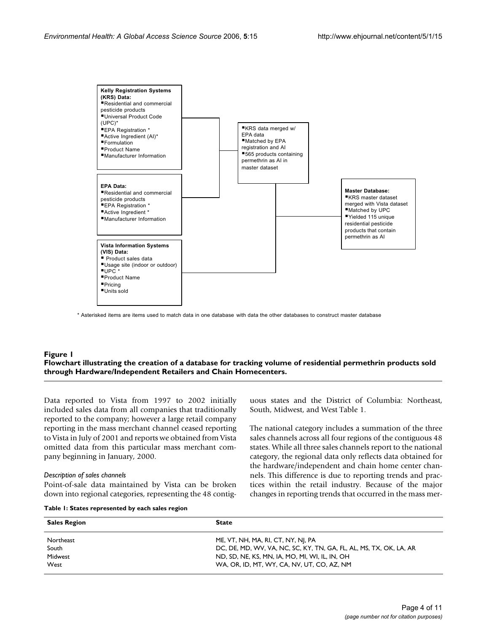

\* Asterisked items are items used to match data in one database with data the other databases to construct master database

## **through Hardware/Independent Re Figure 1 Flowchart illustrating the creation of tailers and Chain Homecenters a database for tracking volume of residential permethrin products sold Flowchart illustrating the creation of a database for tracking volume of residential permethrin products sold through Hardware/Independent Retailers and Chain Homecenters.**

Data reported to Vista from 1997 to 2002 initially included sales data from all companies that traditionally reported to the company; however a large retail company reporting in the mass merchant channel ceased reporting to Vista in July of 2001 and reports we obtained from Vista omitted data from this particular mass merchant company beginning in January, 2000.

## *Description of sales channels*

Point-of-sale data maintained by Vista can be broken down into regional categories, representing the 48 contiguous states and the District of Columbia: Northeast, South, Midwest, and West Table 1.

The national category includes a summation of the three sales channels across all four regions of the contiguous 48 states. While all three sales channels report to the national category, the regional data only reflects data obtained for the hardware/independent and chain home center channels. This difference is due to reporting trends and practices within the retail industry. Because of the major changes in reporting trends that occurred in the mass mer-

|  |  | Table 1: States represented by each sales region |
|--|--|--------------------------------------------------|
|--|--|--------------------------------------------------|

| <b>Sales Region</b> | <b>State</b>                                                       |
|---------------------|--------------------------------------------------------------------|
| Northeast           | ME, VT, NH, MA, RI, CT, NY, NJ, PA                                 |
| South               | DC, DE, MD, WV, VA, NC, SC, KY, TN, GA, FL, AL, MS, TX, OK, LA, AR |
| Midwest             | ND, SD, NE, KS, MN, IA, MO, MI, WI, IL, IN, OH                     |
| West                | WA, OR, ID, MT, WY, CA, NV, UT, CO, AZ, NM                         |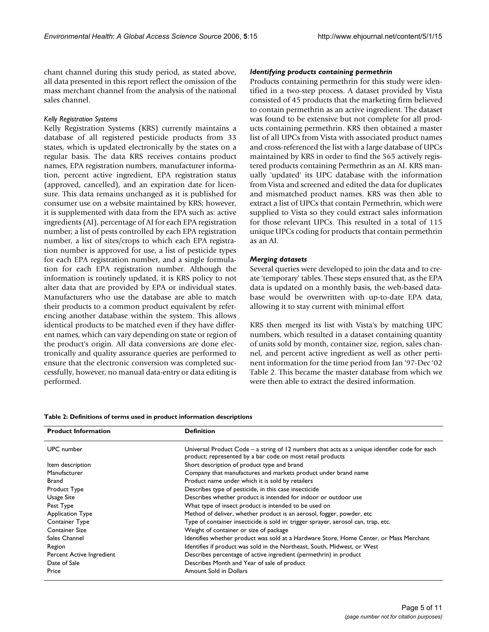chant channel during this study period, as stated above, all data presented in this report reflect the omission of the mass merchant channel from the analysis of the national sales channel.

## *Kelly Registration Systems*

Kelly Registration Systems (KRS) currently maintains a database of all registered pesticide products from 33 states, which is updated electronically by the states on a regular basis. The data KRS receives contains product names, EPA registration numbers, manufacturer information, percent active ingredient, EPA registration status (approved, cancelled), and an expiration date for licensure. This data remains unchanged as it is published for consumer use on a website maintained by KRS; however, it is supplemented with data from the EPA such as: active ingredients (AI), percentage of AI for each EPA registration number; a list of pests controlled by each EPA registration number, a list of sites/crops to which each EPA registration number is approved for use, a list of pesticide types for each EPA registration number, and a single formulation for each EPA registration number. Although the information is routinely updated, it is KRS policy to not alter data that are provided by EPA or individual states. Manufacturers who use the database are able to match their products to a common product equivalent by referencing another database within the system. This allows identical products to be matched even if they have different names, which can vary depending on state or region of the product's origin. All data conversions are done electronically and quality assurance queries are performed to ensure that the electronic conversion was completed successfully, however, no manual data-entry or data editing is performed.

## *Identifying products containing permethrin*

Products containing permethrin for this study were identified in a two-step process. A dataset provided by Vista consisted of 45 products that the marketing firm believed to contain permethrin as an active ingredient. The dataset was found to be extensive but not complete for all products containing permethrin. KRS then obtained a master list of all UPCs from Vista with associated product names and cross-referenced the list with a large database of UPCs maintained by KRS in order to find the 565 actively registered products containing Permethrin as an AI. KRS manually 'updated' its UPC database with the information from Vista and screened and edited the data for duplicates and mismatched product names. KRS was then able to extract a list of UPCs that contain Permethrin, which were supplied to Vista so they could extract sales information for those relevant UPCs. This resulted in a total of 115 unique UPCs coding for products that contain permethrin as an AI.

## *Merging datasets*

Several queries were developed to join the data and to create 'temporary' tables. These steps ensured that, as the EPA data is updated on a monthly basis, the web-based database would be overwritten with up-to-date EPA data, allowing it to stay current with minimal effort

KRS then merged its list with Vista's by matching UPC numbers, which resulted in a dataset containing quantity of units sold by month, container size, region, sales channel, and percent active ingredient as well as other pertinent information for the time period from Jan '97-Dec '02 Table 2. This became the master database from which we were then able to extract the desired information.

## **Table 2: Definitions of terms used in product information descriptions**

| <b>Product Information</b> | <b>Definition</b>                                                                                                                                            |  |
|----------------------------|--------------------------------------------------------------------------------------------------------------------------------------------------------------|--|
| UPC number                 | Universal Product Code - a string of 12 numbers that acts as a unique identifier code for each<br>product; represented by a bar code on most retail products |  |
| Item description           | Short description of product type and brand                                                                                                                  |  |
| Manufacturer               | Company that manufactures and markets product under brand name                                                                                               |  |
| <b>Brand</b>               | Product name under which it is sold by retailers                                                                                                             |  |
| Product Type               | Describes type of pesticide, in this case insecticide                                                                                                        |  |
| <b>Usage Site</b>          | Describes whether product is intended for indoor or outdoor use                                                                                              |  |
| Pest Type                  | What type of insect product is intended to be used on                                                                                                        |  |
| <b>Application Type</b>    | Method of deliver, whether product is an aerosol, fogger, powder, etc                                                                                        |  |
| <b>Container Type</b>      | Type of container insecticide is sold in: trigger sprayer, aerosol can, trap, etc.                                                                           |  |
| <b>Container Size</b>      | Weight of container or size of package                                                                                                                       |  |
| Sales Channel              | Identifies whether product was sold at a Hardware Store, Home Center, or Mass Merchant                                                                       |  |
| Region                     | Identifies if product was sold in the Northeast, South, Midwest, or West                                                                                     |  |
| Percent Active Ingredient  | Describes percentage of active ingredient (permethrin) in product                                                                                            |  |
| Date of Sale               | Describes Month and Year of sale of product                                                                                                                  |  |
| Price                      | <b>Amount Sold in Dollars</b>                                                                                                                                |  |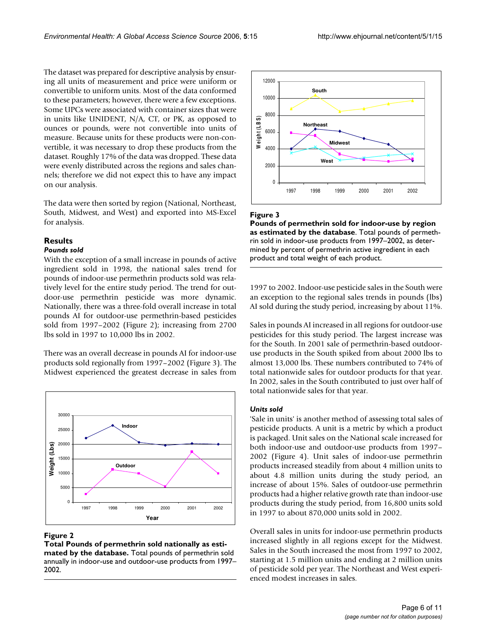The dataset was prepared for descriptive analysis by ensuring all units of measurement and price were uniform or convertible to uniform units. Most of the data conformed to these parameters; however, there were a few exceptions. Some UPCs were associated with container sizes that were in units like UNIDENT, N/A, CT, or PK, as opposed to ounces or pounds, were not convertible into units of measure. Because units for these products were non-convertible, it was necessary to drop these products from the dataset. Roughly 17% of the data was dropped. These data were evenly distributed across the regions and sales channels; therefore we did not expect this to have any impact on our analysis.

The data were then sorted by region (National, Northeast, South, Midwest, and West) and exported into MS-Excel for analysis.

# **Results**

# *Pounds sold*

With the exception of a small increase in pounds of active ingredient sold in 1998, the national sales trend for pounds of indoor-use permethrin products sold was relatively level for the entire study period. The trend for outdoor-use permethrin pesticide was more dynamic. Nationally, there was a three-fold overall increase in total pounds AI for outdoor-use permethrin-based pesticides sold from 1997–2002 (Figure 2); increasing from 2700 lbs sold in 1997 to 10,000 lbs in 2002.

There was an overall decrease in pounds AI for indoor-use products sold regionally from 1997–2002 (Figure 3). The Midwest experienced the greatest decrease in sales from



# **Figure 2**

**Total Pounds of permethrin sold nationally as estimated by the database.** Total pounds of permethrin sold annually in indoor-use and outdoor-use products from 1997– 2002.



# **Pigure 3**

**Pounds of permethrin sold for indoor-use by region as estimated by the database**. Total pounds of permethrin sold in indoor-use products from 1997–2002, as determined by percent of permethrin active ingredient in each product and total weight of each product.

1997 to 2002. Indoor-use pesticide sales in the South were an exception to the regional sales trends in pounds (lbs) AI sold during the study period, increasing by about 11%.

Sales in pounds AI increased in all regions for outdoor-use pesticides for this study period. The largest increase was for the South. In 2001 sale of permethrin-based outdooruse products in the South spiked from about 2000 lbs to almost 13,000 lbs. These numbers contributed to 74% of total nationwide sales for outdoor products for that year. In 2002, sales in the South contributed to just over half of total nationwide sales for that year.

# *Units sold*

'Sale in units' is another method of assessing total sales of pesticide products. A unit is a metric by which a product is packaged. Unit sales on the National scale increased for both indoor-use and outdoor-use products from 1997– 2002 (Figure 4). Unit sales of indoor-use permethrin products increased steadily from about 4 million units to about 4.8 million units during the study period, an increase of about 15%. Sales of outdoor-use permethrin products had a higher relative growth rate than indoor-use products during the study period, from 16,800 units sold in 1997 to about 870,000 units sold in 2002.

Overall sales in units for indoor-use permethrin products increased slightly in all regions except for the Midwest. Sales in the South increased the most from 1997 to 2002, starting at 1.5 million units and ending at 2 million units of pesticide sold per year. The Northeast and West experienced modest increases in sales.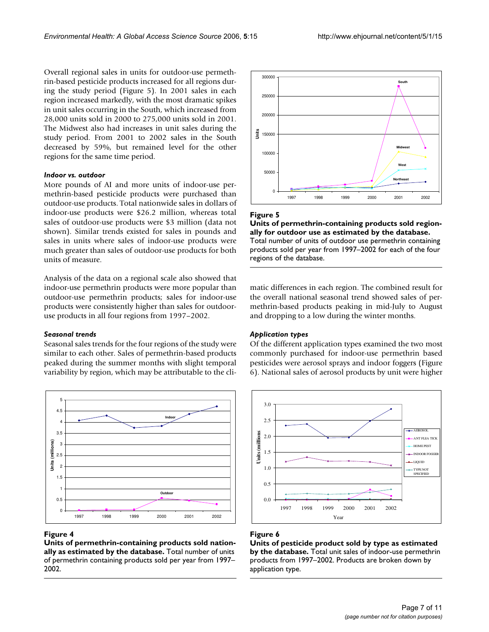Overall regional sales in units for outdoor-use permethrin-based pesticide products increased for all regions during the study period (Figure 5). In 2001 sales in each region increased markedly, with the most dramatic spikes in unit sales occurring in the South, which increased from 28,000 units sold in 2000 to 275,000 units sold in 2001. The Midwest also had increases in unit sales during the study period. From 2001 to 2002 sales in the South decreased by 59%, but remained level for the other regions for the same time period.

## *Indoor vs. outdoor*

More pounds of AI and more units of indoor-use permethrin-based pesticide products were purchased than outdoor-use products. Total nationwide sales in dollars of indoor-use products were \$26.2 million, whereas total sales of outdoor-use products were \$3 million (data not shown). Similar trends existed for sales in pounds and sales in units where sales of indoor-use products were much greater than sales of outdoor-use products for both units of measure.

Analysis of the data on a regional scale also showed that indoor-use permethrin products were more popular than outdoor-use permethrin products; sales for indoor-use products were consistently higher than sales for outdooruse products in all four regions from 1997–2002.

#### *Seasonal trends*

Seasonal sales trends for the four regions of the study were similar to each other. Sales of permethrin-based products peaked during the summer months with slight temporal variability by region, which may be attributable to the cli-



## **Figure 4**

**Units of permethrin-containing products sold nationally as estimated by the database.** Total number of units of permethrin containing products sold per year from 1997– 2002.



## **Figure 5**

**Units of permethrin-containing products sold regionally for outdoor use as estimated by the database.** Total number of units of outdoor use permethrin containing products sold per year from 1997–2002 for each of the four regions of the database.

matic differences in each region. The combined result for the overall national seasonal trend showed sales of permethrin-based products peaking in mid-July to August and dropping to a low during the winter months.

## *Application types*

Of the different application types examined the two most commonly purchased for indoor-use permethrin based pesticides were aerosol sprays and indoor foggers (Figure 6). National sales of aerosol products by unit were higher



## **Figure 6**

**Units of pesticide product sold by type as estimated by the database.** Total unit sales of indoor-use permethrin products from 1997–2002. Products are broken down by application type.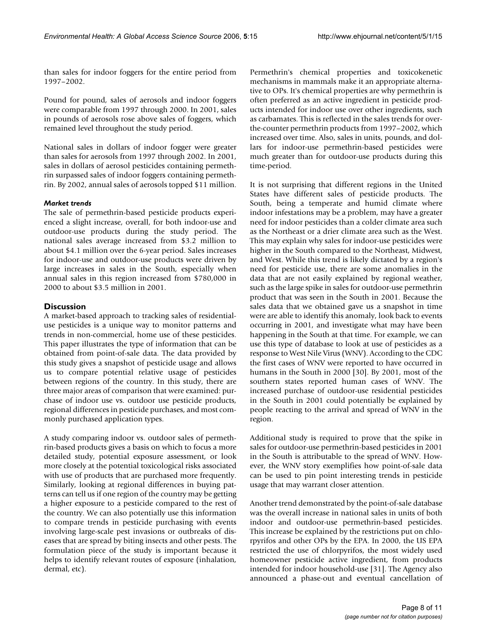than sales for indoor foggers for the entire period from 1997–2002.

Pound for pound, sales of aerosols and indoor foggers were comparable from 1997 through 2000. In 2001, sales in pounds of aerosols rose above sales of foggers, which remained level throughout the study period.

National sales in dollars of indoor fogger were greater than sales for aerosols from 1997 through 2002. In 2001, sales in dollars of aerosol pesticides containing permethrin surpassed sales of indoor foggers containing permethrin. By 2002, annual sales of aerosols topped \$11 million.

# *Market trends*

The sale of permethrin-based pesticide products experienced a slight increase, overall, for both indoor-use and outdoor-use products during the study period. The national sales average increased from \$3.2 million to about \$4.1 million over the 6-year period. Sales increases for indoor-use and outdoor-use products were driven by large increases in sales in the South, especially when annual sales in this region increased from \$780,000 in 2000 to about \$3.5 million in 2001.

# **Discussion**

A market-based approach to tracking sales of residentialuse pesticides is a unique way to monitor patterns and trends in non-commercial, home use of these pesticides. This paper illustrates the type of information that can be obtained from point-of-sale data. The data provided by this study gives a snapshot of pesticide usage and allows us to compare potential relative usage of pesticides between regions of the country. In this study, there are three major areas of comparison that were examined: purchase of indoor use vs. outdoor use pesticide products, regional differences in pesticide purchases, and most commonly purchased application types.

A study comparing indoor vs. outdoor sales of permethrin-based products gives a basis on which to focus a more detailed study, potential exposure assessment, or look more closely at the potential toxicological risks associated with use of products that are purchased more frequently. Similarly, looking at regional differences in buying patterns can tell us if one region of the country may be getting a higher exposure to a pesticide compared to the rest of the country. We can also potentially use this information to compare trends in pesticide purchasing with events involving large-scale pest invasions or outbreaks of diseases that are spread by biting insects and other pests. The formulation piece of the study is important because it helps to identify relevant routes of exposure (inhalation, dermal, etc).

Permethrin's chemical properties and toxicokenetic mechanisms in mammals make it an appropriate alternative to OPs. It's chemical properties are why permethrin is often preferred as an active ingredient in pesticide products intended for indoor use over other ingredients, such as carbamates. This is reflected in the sales trends for overthe-counter permethrin products from 1997–2002, which increased over time. Also, sales in units, pounds, and dollars for indoor-use permethrin-based pesticides were much greater than for outdoor-use products during this time-period.

It is not surprising that different regions in the United States have different sales of pesticide products. The South, being a temperate and humid climate where indoor infestations may be a problem, may have a greater need for indoor pesticides than a colder climate area such as the Northeast or a drier climate area such as the West. This may explain why sales for indoor-use pesticides were higher in the South compared to the Northeast, Midwest, and West. While this trend is likely dictated by a region's need for pesticide use, there are some anomalies in the data that are not easily explained by regional weather, such as the large spike in sales for outdoor-use permethrin product that was seen in the South in 2001. Because the sales data that we obtained gave us a snapshot in time were are able to identify this anomaly, look back to events occurring in 2001, and investigate what may have been happening in the South at that time. For example, we can use this type of database to look at use of pesticides as a response to West Nile Virus (WNV). According to the CDC the first cases of WNV were reported to have occurred in humans in the South in 2000 [30]. By 2001, most of the southern states reported human cases of WNV. The increased purchase of outdoor-use residential pesticides in the South in 2001 could potentially be explained by people reacting to the arrival and spread of WNV in the region.

Additional study is required to prove that the spike in sales for outdoor-use permethrin-based pesticides in 2001 in the South is attributable to the spread of WNV. However, the WNV story exemplifies how point-of-sale data can be used to pin point interesting trends in pesticide usage that may warrant closer attention.

Another trend demonstrated by the point-of-sale database was the overall increase in national sales in units of both indoor and outdoor-use permethrin-based pesticides. This increase be explained by the restrictions put on chlorpyrifos and other OPs by the EPA. In 2000, the US EPA restricted the use of chlorpyrifos, the most widely used homeowner pesticide active ingredient, from products intended for indoor household-use [31]. The Agency also announced a phase-out and eventual cancellation of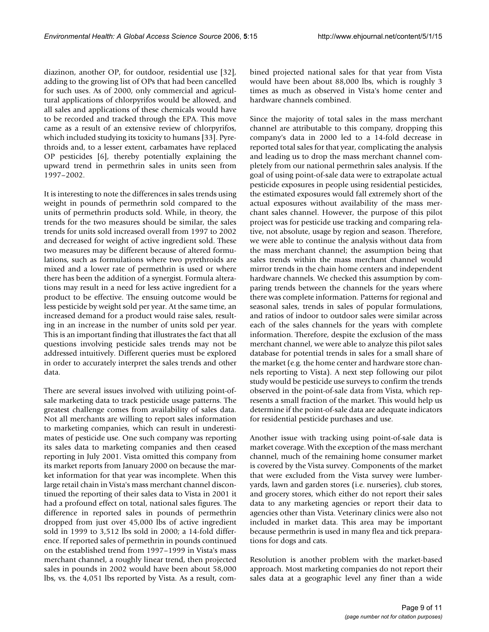diazinon, another OP, for outdoor, residential use [32], adding to the growing list of OPs that had been cancelled for such uses. As of 2000, only commercial and agricultural applications of chlorpyrifos would be allowed, and all sales and applications of these chemicals would have to be recorded and tracked through the EPA. This move came as a result of an extensive review of chlorpyrifos, which included studying its toxicity to humans [33]. Pyrethroids and, to a lesser extent, carbamates have replaced OP pesticides [6], thereby potentially explaining the upward trend in permethrin sales in units seen from 1997–2002.

It is interesting to note the differences in sales trends using weight in pounds of permethrin sold compared to the units of permethrin products sold. While, in theory, the trends for the two measures should be similar, the sales trends for units sold increased overall from 1997 to 2002 and decreased for weight of active ingredient sold. These two measures may be different because of altered formulations, such as formulations where two pyrethroids are mixed and a lower rate of permethrin is used or where there has been the addition of a synergist. Formula alterations may result in a need for less active ingredient for a product to be effective. The ensuing outcome would be less pesticide by weight sold per year. At the same time, an increased demand for a product would raise sales, resulting in an increase in the number of units sold per year. This is an important finding that illustrates the fact that all questions involving pesticide sales trends may not be addressed intuitively. Different queries must be explored in order to accurately interpret the sales trends and other data.

There are several issues involved with utilizing point-ofsale marketing data to track pesticide usage patterns. The greatest challenge comes from availability of sales data. Not all merchants are willing to report sales information to marketing companies, which can result in underestimates of pesticide use. One such company was reporting its sales data to marketing companies and then ceased reporting in July 2001. Vista omitted this company from its market reports from January 2000 on because the market information for that year was incomplete. When this large retail chain in Vista's mass merchant channel discontinued the reporting of their sales data to Vista in 2001 it had a profound effect on total, national sales figures. The difference in reported sales in pounds of permethrin dropped from just over 45,000 lbs of active ingredient sold in 1999 to 3,512 lbs sold in 2000; a 14-fold difference. If reported sales of permethrin in pounds continued on the established trend from 1997–1999 in Vista's mass merchant channel, a roughly linear trend, then projected sales in pounds in 2002 would have been about 58,000 lbs, vs. the 4,051 lbs reported by Vista. As a result, combined projected national sales for that year from Vista would have been about 88,000 lbs, which is roughly 3 times as much as observed in Vista's home center and hardware channels combined.

Since the majority of total sales in the mass merchant channel are attributable to this company, dropping this company's data in 2000 led to a 14-fold decrease in reported total sales for that year, complicating the analysis and leading us to drop the mass merchant channel completely from our national permethrin sales analysis. If the goal of using point-of-sale data were to extrapolate actual pesticide exposures in people using residential pesticides, the estimated exposures would fall extremely short of the actual exposures without availability of the mass merchant sales channel. However, the purpose of this pilot project was for pesticide use tracking and comparing relative, not absolute, usage by region and season. Therefore, we were able to continue the analysis without data from the mass merchant channel; the assumption being that sales trends within the mass merchant channel would mirror trends in the chain home centers and independent hardware channels. We checked this assumption by comparing trends between the channels for the years where there was complete information. Patterns for regional and seasonal sales, trends in sales of popular formulations, and ratios of indoor to outdoor sales were similar across each of the sales channels for the years with complete information. Therefore, despite the exclusion of the mass merchant channel, we were able to analyze this pilot sales database for potential trends in sales for a small share of the market (e.g. the home center and hardware store channels reporting to Vista). A next step following our pilot study would be pesticide use surveys to confirm the trends observed in the point-of-sale data from Vista, which represents a small fraction of the market. This would help us determine if the point-of-sale data are adequate indicators for residential pesticide purchases and use.

Another issue with tracking using point-of-sale data is market coverage. With the exception of the mass merchant channel, much of the remaining home consumer market is covered by the Vista survey. Components of the market that were excluded from the Vista survey were lumberyards, lawn and garden stores (i.e. nurseries), club stores, and grocery stores, which either do not report their sales data to any marketing agencies or report their data to agencies other than Vista. Veterinary clinics were also not included in market data. This area may be important because permethrin is used in many flea and tick preparations for dogs and cats.

Resolution is another problem with the market-based approach. Most marketing companies do not report their sales data at a geographic level any finer than a wide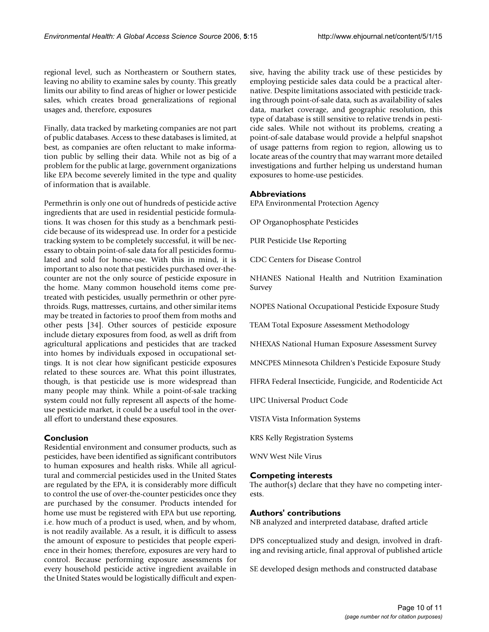regional level, such as Northeastern or Southern states, leaving no ability to examine sales by county. This greatly limits our ability to find areas of higher or lower pesticide sales, which creates broad generalizations of regional usages and, therefore, exposures

Finally, data tracked by marketing companies are not part of public databases. Access to these databases is limited, at best, as companies are often reluctant to make information public by selling their data. While not as big of a problem for the public at large, government organizations like EPA become severely limited in the type and quality of information that is available.

Permethrin is only one out of hundreds of pesticide active ingredients that are used in residential pesticide formulations. It was chosen for this study as a benchmark pesticide because of its widespread use. In order for a pesticide tracking system to be completely successful, it will be necessary to obtain point-of-sale data for all pesticides formulated and sold for home-use. With this in mind, it is important to also note that pesticides purchased over-thecounter are not the only source of pesticide exposure in the home. Many common household items come pretreated with pesticides, usually permethrin or other pyrethroids. Rugs, mattresses, curtains, and other similar items may be treated in factories to proof them from moths and other pests [34]. Other sources of pesticide exposure include dietary exposures from food, as well as drift from agricultural applications and pesticides that are tracked into homes by individuals exposed in occupational settings. It is not clear how significant pesticide exposures related to these sources are. What this point illustrates, though, is that pesticide use is more widespread than many people may think. While a point-of-sale tracking system could not fully represent all aspects of the homeuse pesticide market, it could be a useful tool in the overall effort to understand these exposures.

# **Conclusion**

Residential environment and consumer products, such as pesticides, have been identified as significant contributors to human exposures and health risks. While all agricultural and commercial pesticides used in the United States are regulated by the EPA, it is considerably more difficult to control the use of over-the-counter pesticides once they are purchased by the consumer. Products intended for home use must be registered with EPA but use reporting, i.e. how much of a product is used, when, and by whom, is not readily available. As a result, it is difficult to assess the amount of exposure to pesticides that people experience in their homes; therefore, exposures are very hard to control. Because performing exposure assessments for every household pesticide active ingredient available in the United States would be logistically difficult and expensive, having the ability track use of these pesticides by employing pesticide sales data could be a practical alternative. Despite limitations associated with pesticide tracking through point-of-sale data, such as availability of sales data, market coverage, and geographic resolution, this type of database is still sensitive to relative trends in pesticide sales. While not without its problems, creating a point-of-sale database would provide a helpful snapshot of usage patterns from region to region, allowing us to locate areas of the country that may warrant more detailed investigations and further helping us understand human exposures to home-use pesticides.

# **Abbreviations**

EPA Environmental Protection Agency

OP Organophosphate Pesticides

PUR Pesticide Use Reporting

CDC Centers for Disease Control

NHANES National Health and Nutrition Examination Survey

NOPES National Occupational Pesticide Exposure Study

TEAM Total Exposure Assessment Methodology

NHEXAS National Human Exposure Assessment Survey

MNCPES Minnesota Children's Pesticide Exposure Study

FIFRA Federal Insecticide, Fungicide, and Rodenticide Act

UPC Universal Product Code

VISTA Vista Information Systems

KRS Kelly Registration Systems

WNV West Nile Virus

## **Competing interests**

The author(s) declare that they have no competing interests.

## **Authors' contributions**

NB analyzed and interpreted database, drafted article

DPS conceptualized study and design, involved in drafting and revising article, final approval of published article

SE developed design methods and constructed database